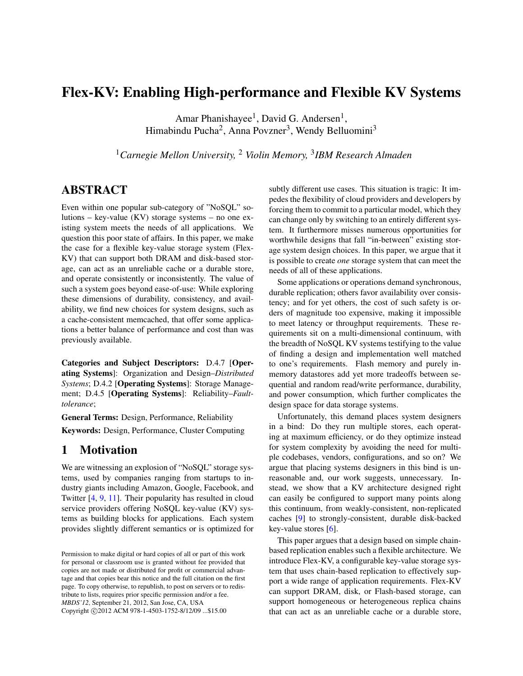# Flex-KV: Enabling High-performance and Flexible KV Systems

Amar Phanishayee<sup>1</sup>, David G. Andersen<sup>1</sup>, Himabindu Pucha<sup>2</sup>, Anna Povzner<sup>3</sup>, Wendy Belluomini<sup>3</sup>

<sup>1</sup>*Carnegie Mellon University,* <sup>2</sup> *Violin Memory,* <sup>3</sup> *IBM Research Almaden*

## ABSTRACT

Even within one popular sub-category of "NoSQL" solutions – key-value (KV) storage systems – no one existing system meets the needs of all applications. We question this poor state of affairs. In this paper, we make the case for a flexible key-value storage system (Flex-KV) that can support both DRAM and disk-based storage, can act as an unreliable cache or a durable store, and operate consistently or inconsistently. The value of such a system goes beyond ease-of-use: While exploring these dimensions of durability, consistency, and availability, we find new choices for system designs, such as a cache-consistent memcached, that offer some applications a better balance of performance and cost than was previously available.

Categories and Subject Descriptors: D.4.7 [Operating Systems]: Organization and Design–*Distributed Systems*; D.4.2 [Operating Systems]: Storage Management; D.4.5 [Operating Systems]: Reliability–*Faulttolerance*;

General Terms: Design, Performance, Reliability

Keywords: Design, Performance, Cluster Computing

### 1 Motivation

We are witnessing an explosion of "NoSQL" storage systems, used by companies ranging from startups to industry giants including Amazon, Google, Facebook, and Twitter [\[4,](#page-5-0) [9,](#page-5-1) [11\]](#page-5-2). Their popularity has resulted in cloud service providers offering NoSQL key-value (KV) systems as building blocks for applications. Each system provides slightly different semantics or is optimized for subtly different use cases. This situation is tragic: It impedes the flexibility of cloud providers and developers by forcing them to commit to a particular model, which they can change only by switching to an entirely different system. It furthermore misses numerous opportunities for worthwhile designs that fall "in-between" existing storage system design choices. In this paper, we argue that it is possible to create *one* storage system that can meet the needs of all of these applications.

Some applications or operations demand synchronous, durable replication; others favor availability over consistency; and for yet others, the cost of such safety is orders of magnitude too expensive, making it impossible to meet latency or throughput requirements. These requirements sit on a multi-dimensional continuum, with the breadth of NoSQL KV systems testifying to the value of finding a design and implementation well matched to one's requirements. Flash memory and purely inmemory datastores add yet more tradeoffs between sequential and random read/write performance, durability, and power consumption, which further complicates the design space for data storage systems.

Unfortunately, this demand places system designers in a bind: Do they run multiple stores, each operating at maximum efficiency, or do they optimize instead for system complexity by avoiding the need for multiple codebases, vendors, configurations, and so on? We argue that placing systems designers in this bind is unreasonable and, our work suggests, unnecessary. Instead, we show that a KV architecture designed right can easily be configured to support many points along this continuum, from weakly-consistent, non-replicated caches [\[9\]](#page-5-1) to strongly-consistent, durable disk-backed key-value stores [\[6\]](#page-5-3).

This paper argues that a design based on simple chainbased replication enables such a flexible architecture. We introduce Flex-KV, a configurable key-value storage system that uses chain-based replication to effectively support a wide range of application requirements. Flex-KV can support DRAM, disk, or Flash-based storage, can support homogeneous or heterogeneous replica chains that can act as an unreliable cache or a durable store,

Permission to make digital or hard copies of all or part of this work for personal or classroom use is granted without fee provided that copies are not made or distributed for profit or commercial advantage and that copies bear this notice and the full citation on the first page. To copy otherwise, to republish, to post on servers or to redistribute to lists, requires prior specific permission and/or a fee. *MBDS'12*, September 21, 2012, San Jose, CA, USA Copyright ©2012 ACM 978-1-4503-1752-8/12/09 ... \$15.00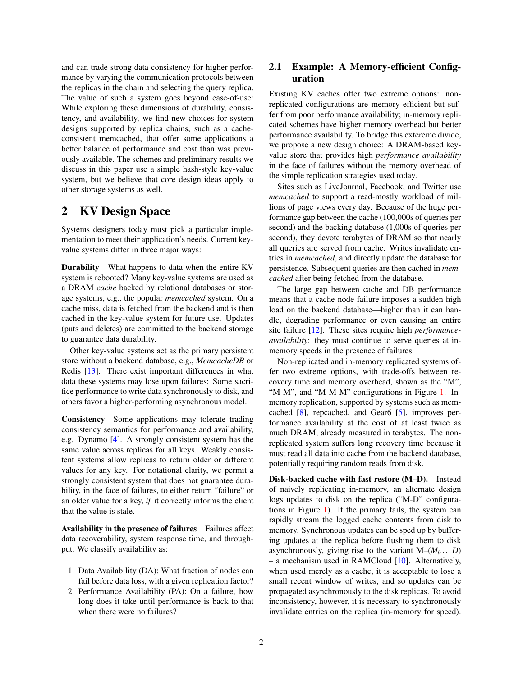and can trade strong data consistency for higher performance by varying the communication protocols between the replicas in the chain and selecting the query replica. The value of such a system goes beyond ease-of-use: While exploring these dimensions of durability, consistency, and availability, we find new choices for system designs supported by replica chains, such as a cacheconsistent memcached, that offer some applications a better balance of performance and cost than was previously available. The schemes and preliminary results we discuss in this paper use a simple hash-style key-value system, but we believe that core design ideas apply to other storage systems as well.

### 2 KV Design Space

Systems designers today must pick a particular implementation to meet their application's needs. Current keyvalue systems differ in three major ways:

Durability What happens to data when the entire KV system is rebooted? Many key-value systems are used as a DRAM *cache* backed by relational databases or storage systems, e.g., the popular *memcached* system. On a cache miss, data is fetched from the backend and is then cached in the key-value system for future use. Updates (puts and deletes) are committed to the backend storage to guarantee data durability.

Other key-value systems act as the primary persistent store without a backend database, e.g., *MemcacheDB* or Redis [\[13\]](#page-5-4). There exist important differences in what data these systems may lose upon failures: Some sacrifice performance to write data synchronously to disk, and others favor a higher-performing asynchronous model.

Consistency Some applications may tolerate trading consistency semantics for performance and availability, e.g. Dynamo [\[4\]](#page-5-0). A strongly consistent system has the same value across replicas for all keys. Weakly consistent systems allow replicas to return older or different values for any key. For notational clarity, we permit a strongly consistent system that does not guarantee durability, in the face of failures, to either return "failure" or an older value for a key, *if* it correctly informs the client that the value is stale.

Availability in the presence of failures Failures affect data recoverability, system response time, and throughput. We classify availability as:

- 1. Data Availability (DA): What fraction of nodes can fail before data loss, with a given replication factor?
- 2. Performance Availability (PA): On a failure, how long does it take until performance is back to that when there were no failures?

### 2.1 Example: A Memory-efficient Configuration

Existing KV caches offer two extreme options: nonreplicated configurations are memory efficient but suffer from poor performance availability; in-memory replicated schemes have higher memory overhead but better performance availability. To bridge this extereme divide, we propose a new design choice: A DRAM-based keyvalue store that provides high *performance availability* in the face of failures without the memory overhead of the simple replication strategies used today.

Sites such as LiveJournal, Facebook, and Twitter use *memcached* to support a read-mostly workload of millions of page views every day. Because of the huge performance gap between the cache (100,000s of queries per second) and the backing database (1,000s of queries per second), they devote terabytes of DRAM so that nearly all queries are served from cache. Writes invalidate entries in *memcached*, and directly update the database for persistence. Subsequent queries are then cached in *memcached* after being fetched from the database.

The large gap between cache and DB performance means that a cache node failure imposes a sudden high load on the backend database—higher than it can handle, degrading performance or even causing an entire site failure [\[12\]](#page-5-5). These sites require high *performanceavailability*: they must continue to serve queries at inmemory speeds in the presence of failures.

Non-replicated and in-memory replicated systems offer two extreme options, with trade-offs between recovery time and memory overhead, shown as the "M", "M-M", and "M-M-M" configurations in Figure [1.](#page-2-0) Inmemory replication, supported by systems such as memcached [\[8\]](#page-5-6), repcached, and Gear6 [\[5\]](#page-5-7), improves performance availability at the cost of at least twice as much DRAM, already measured in terabytes. The nonreplicated system suffers long recovery time because it must read all data into cache from the backend database, potentially requiring random reads from disk.

Disk-backed cache with fast restore (M–D). Instead of naively replicating in-memory, an alternate design logs updates to disk on the replica ("M-D" configurations in Figure [1\)](#page-2-0). If the primary fails, the system can rapidly stream the logged cache contents from disk to memory. Synchronous updates can be sped up by buffering updates at the replica before flushing them to disk asynchronously, giving rise to the variant  $M-(M_b \dots D)$ – a mechanism used in RAMCloud  $[10]$ . Alternatively, when used merely as a cache, it is acceptable to lose a small recent window of writes, and so updates can be propagated asynchronously to the disk replicas. To avoid inconsistency, however, it is necessary to synchronously invalidate entries on the replica (in-memory for speed).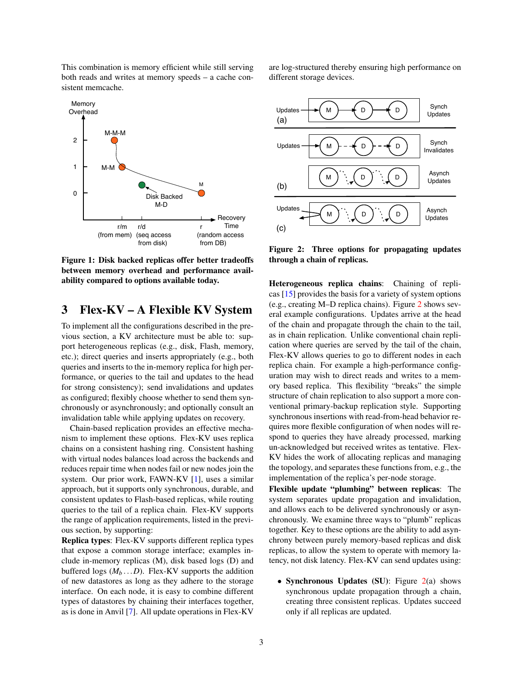This combination is memory efficient while still serving both reads and writes at memory speeds – a cache consistent memcache.

<span id="page-2-0"></span>

Figure 1: Disk backed replicas offer better tradeoffs between memory overhead and performance availability compared to options available today.

# 3 Flex-KV – A Flexible KV System

To implement all the configurations described in the previous section, a KV architecture must be able to: support heterogeneous replicas (e.g., disk, Flash, memory, etc.); direct queries and inserts appropriately (e.g., both queries and inserts to the in-memory replica for high performance, or queries to the tail and updates to the head for strong consistency); send invalidations and updates as configured; flexibly choose whether to send them synchronously or asynchronously; and optionally consult an invalidation table while applying updates on recovery.

Chain-based replication provides an effective mechanism to implement these options. Flex-KV uses replica chains on a consistent hashing ring. Consistent hashing with virtual nodes balances load across the backends and reduces repair time when nodes fail or new nodes join the system. Our prior work, FAWN-KV [\[1\]](#page-5-9), uses a similar approach, but it supports only synchronous, durable, and consistent updates to Flash-based replicas, while routing queries to the tail of a replica chain. Flex-KV supports the range of application requirements, listed in the previous section, by supporting:

Replica types: Flex-KV supports different replica types that expose a common storage interface; examples include in-memory replicas (M), disk based logs (D) and buffered logs  $(M_b \dots D)$ . Flex-KV supports the addition of new datastores as long as they adhere to the storage interface. On each node, it is easy to combine different types of datastores by chaining their interfaces together, as is done in Anvil [\[7\]](#page-5-10). All update operations in Flex-KV are log-structured thereby ensuring high performance on different storage devices.

<span id="page-2-1"></span>

Figure 2: Three options for propagating updates through a chain of replicas.

Heterogeneous replica chains: Chaining of replicas [\[15\]](#page-5-11) provides the basis for a variety of system options (e.g., creating M–D replica chains). Figure [2](#page-2-1) shows several example configurations. Updates arrive at the head of the chain and propagate through the chain to the tail, as in chain replication. Unlike conventional chain replication where queries are served by the tail of the chain, Flex-KV allows queries to go to different nodes in each replica chain. For example a high-performance configuration may wish to direct reads and writes to a memory based replica. This flexibility "breaks" the simple structure of chain replication to also support a more conventional primary-backup replication style. Supporting synchronous insertions with read-from-head behavior requires more flexible configuration of when nodes will respond to queries they have already processed, marking un-acknowledged but received writes as tentative. Flex-KV hides the work of allocating replicas and managing the topology, and separates these functions from, e.g., the implementation of the replica's per-node storage.

Flexible update "plumbing" between replicas: The system separates update propagation and invalidation, and allows each to be delivered synchronously or asynchronously. We examine three ways to "plumb" replicas together. Key to these options are the ability to add asynchrony between purely memory-based replicas and disk replicas, to allow the system to operate with memory latency, not disk latency. Flex-KV can send updates using:

• Synchronous Updates (SU): Figure  $2(a)$  $2(a)$  shows synchronous update propagation through a chain, creating three consistent replicas. Updates succeed only if all replicas are updated.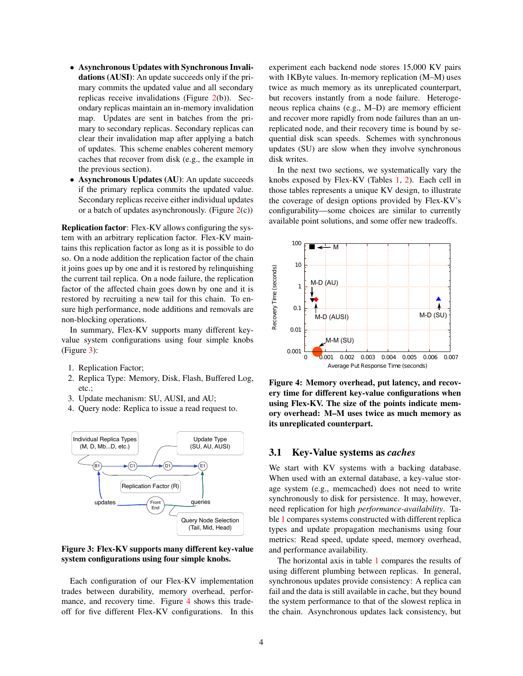- Asynchronous Updates with Synchronous Invalidations (AUSI): An update succeeds only if the primary commits the updated value and all secondary replicas receive invalidations (Figure [2\(](#page-2-1)b)). Secondary replicas maintain an in-memory invalidation map. Updates are sent in batches from the primary to secondary replicas. Secondary replicas can clear their invalidation map after applying a batch of updates. This scheme enables coherent memory caches that recover from disk (e.g., the example in the previous section).
- Asynchronous Updates (AU): An update succeeds if the primary replica commits the updated value. Secondary replicas receive either individual updates or a batch of updates asynchronously. (Figure  $2(c)$  $2(c)$ )

Replication factor: Flex-KV allows configuring the system with an arbitrary replication factor. Flex-KV maintains this replication factor as long as it is possible to do so. On a node addition the replication factor of the chain it joins goes up by one and it is restored by relinquishing the current tail replica. On a node failure, the replication factor of the affected chain goes down by one and it is restored by recruiting a new tail for this chain. To ensure high performance, node additions and removals are non-blocking operations.

In summary, Flex-KV supports many different keyvalue system configurations using four simple knobs (Figure [3\)](#page-3-0):

- 1. Replication Factor;
- 2. Replica Type: Memory, Disk, Flash, Buffered Log, etc.;
- 3. Update mechanism: SU, AUSI, and AU;
- 4. Query node: Replica to issue a read request to.

<span id="page-3-0"></span>

Figure 3: Flex-KV supports many different key-value system configurations using four simple knobs.

Each configuration of our Flex-KV implementation trades between durability, memory overhead, perfor-mance, and recovery time. Figure [4](#page-3-1) shows this tradeoff for five different Flex-KV configurations. In this experiment each backend node stores 15,000 KV pairs with 1KByte values. In-memory replication (M–M) uses twice as much memory as its unreplicated counterpart, but recovers instantly from a node failure. Heterogeneous replica chains (e.g., M–D) are memory efficient and recover more rapidly from node failures than an unreplicated node, and their recovery time is bound by sequential disk scan speeds. Schemes with synchronous updates (SU) are slow when they involve synchronous disk writes.

In the next two sections, we systematically vary the knobs exposed by Flex-KV (Tables [1,](#page-4-0) [2\)](#page-5-12). Each cell in those tables represents a unique KV design, to illustrate the coverage of design options provided by Flex-KV's configurability—some choices are similar to currently available point solutions, and some offer new tradeoffs.

<span id="page-3-1"></span>

Figure 4: Memory overhead, put latency, and recovery time for different key-value configurations when using Flex-KV. The size of the points indicate memory overhead: M–M uses twice as much memory as its unreplicated counterpart.

#### 3.1 Key-Value systems as *caches*

We start with KV systems with a backing database. When used with an external database, a key-value storage system (e.g., memcached) does not need to write synchronously to disk for persistence. It may, however, need replication for high *performance-availability*. Table [1](#page-4-0) compares systems constructed with different replica types and update propagation mechanisms using four metrics: Read speed, update speed, memory overhead, and performance availability.

The horizontal axis in table [1](#page-4-0) compares the results of using different plumbing between replicas. In general, synchronous updates provide consistency: A replica can fail and the data is still available in cache, but they bound the system performance to that of the slowest replica in the chain. Asynchronous updates lack consistency, but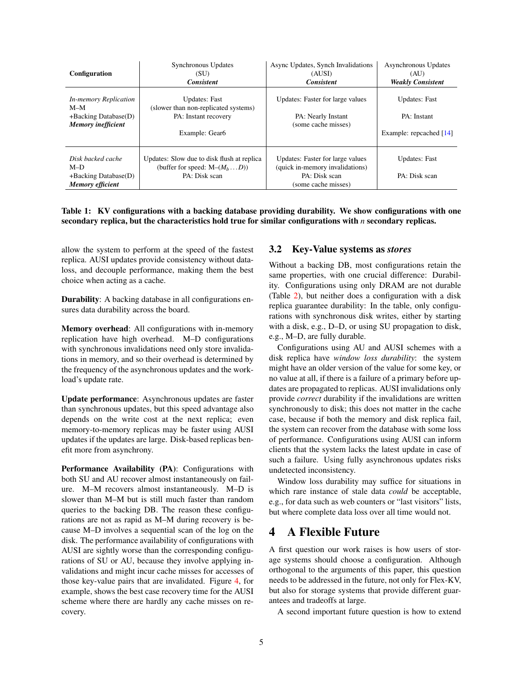<span id="page-4-0"></span>

| <b>Configuration</b>                                                                         | Synchronous Updates<br>(SU)<br><b>Consistent</b>                                                       | Async Updates, Synch Invalidations<br>(AUSI)<br><b>Consistent</b>                                           | Asynchronous Updates<br>(AU)<br><b>Weakly Consistent</b>         |
|----------------------------------------------------------------------------------------------|--------------------------------------------------------------------------------------------------------|-------------------------------------------------------------------------------------------------------------|------------------------------------------------------------------|
| <b>In-memory Replication</b><br>$M-M$<br>$+Backing Database(D)$<br><b>Memory</b> inefficient | <b>Updates:</b> Fast<br>(slower than non-replicated systems)<br>PA: Instant recovery<br>Example: Gear6 | Updates: Faster for large values<br>PA: Nearly Instant<br>(some cache misses)                               | <b>Updates: Fast</b><br>PA: Instant<br>Example: repeached $[14]$ |
| Disk backed cache<br>$M-D$<br>$+Backing Database(D)$<br><b>Memory</b> efficient              | Updates: Slow due to disk flush at replica<br>(buffer for speed: $M-(M_hD)$ )<br>PA: Disk scan         | Updates: Faster for large values<br>(quick in-memory invalidations)<br>PA: Disk scan<br>(some cache misses) | <b>Updates: Fast</b><br>PA: Disk scan                            |

Table 1: KV configurations with a backing database providing durability. We show configurations with one secondary replica, but the characteristics hold true for similar configurations with *n* secondary replicas.

allow the system to perform at the speed of the fastest replica. AUSI updates provide consistency without dataloss, and decouple performance, making them the best choice when acting as a cache.

Durability: A backing database in all configurations ensures data durability across the board.

Memory overhead: All configurations with in-memory replication have high overhead. M–D configurations with synchronous invalidations need only store invalidations in memory, and so their overhead is determined by the frequency of the asynchronous updates and the workload's update rate.

Update performance: Asynchronous updates are faster than synchronous updates, but this speed advantage also depends on the write cost at the next replica; even memory-to-memory replicas may be faster using AUSI updates if the updates are large. Disk-based replicas benefit more from asynchrony.

Performance Availability (PA): Configurations with both SU and AU recover almost instantaneously on failure. M–M recovers almost instantaneously. M–D is slower than M–M but is still much faster than random queries to the backing DB. The reason these configurations are not as rapid as M–M during recovery is because M–D involves a sequential scan of the log on the disk. The performance availability of configurations with AUSI are sightly worse than the corresponding configurations of SU or AU, because they involve applying invalidations and might incur cache misses for accesses of those key-value pairs that are invalidated. Figure [4,](#page-3-1) for example, shows the best case recovery time for the AUSI scheme where there are hardly any cache misses on recovery.

#### 3.2 Key-Value systems as *stores*

Without a backing DB, most configurations retain the same properties, with one crucial difference: Durability. Configurations using only DRAM are not durable (Table [2\)](#page-5-12), but neither does a configuration with a disk replica guarantee durability: In the table, only configurations with synchronous disk writes, either by starting with a disk, e.g., D–D, or using SU propagation to disk, e.g., M–D, are fully durable.

Configurations using AU and AUSI schemes with a disk replica have *window loss durability*: the system might have an older version of the value for some key, or no value at all, if there is a failure of a primary before updates are propagated to replicas. AUSI invalidations only provide *correct* durability if the invalidations are written synchronously to disk; this does not matter in the cache case, because if both the memory and disk replica fail, the system can recover from the database with some loss of performance. Configurations using AUSI can inform clients that the system lacks the latest update in case of such a failure. Using fully asynchronous updates risks undetected inconsistency.

Window loss durability may suffice for situations in which rare instance of stale data *could* be acceptable, e.g., for data such as web counters or "last visitors" lists, but where complete data loss over all time would not.

### 4 A Flexible Future

A first question our work raises is how users of storage systems should choose a configuration. Although orthogonal to the arguments of this paper, this question needs to be addressed in the future, not only for Flex-KV, but also for storage systems that provide different guarantees and tradeoffs at large.

A second important future question is how to extend